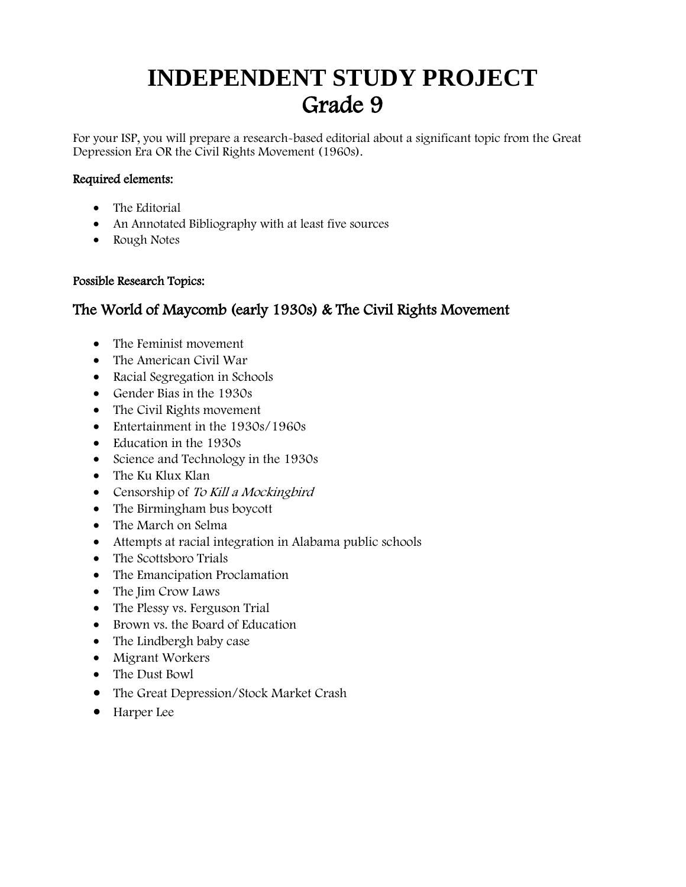### **INDEPENDENT STUDY PROJECT** Grade 9

For your ISP, you will prepare a research-based editorial about a significant topic from the Great Depression Era OR the Civil Rights Movement (1960s).

#### Required elements:

- The Editorial
- An Annotated Bibliography with at least five sources
- Rough Notes

#### Possible Research Topics:

#### The World of Maycomb (early 1930s) & The Civil Rights Movement

- The Feminist movement
- The American Civil War
- Racial Segregation in Schools
- Gender Bias in the 1930s
- The Civil Rights movement
- Entertainment in the 1930s/1960s
- Education in the 1930s
- Science and Technology in the 1930s
- The Ku Klux Klan
- Censorship of To Kill a Mocking bird
- The Birmingham bus boycott
- The March on Selma
- Attempts at racial integration in Alabama public schools
- The Scottsboro Trials
- The Emancipation Proclamation
- The Jim Crow Laws
- The Plessy vs. Ferguson Trial
- Brown vs. the Board of Education
- The Lindbergh baby case
- Migrant Workers
- The Dust Bowl
- The Great Depression/Stock Market Crash
- Harper Lee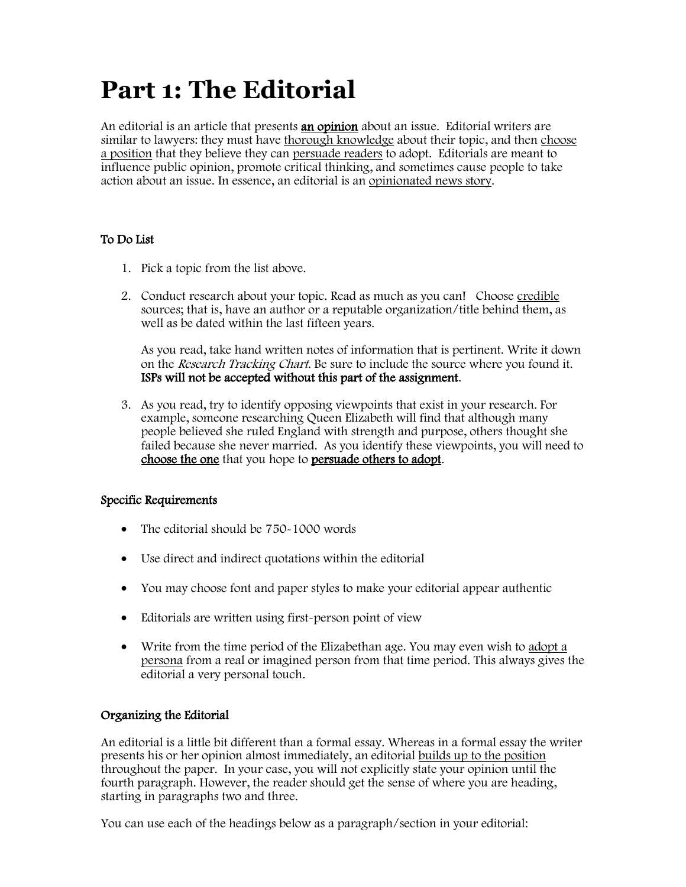### **Part 1: The Editorial**

An editorial is an article that presents **an opinion** about an issue. Editorial writers are similar to lawyers: they must have thorough knowledge about their topic, and then choose a position that they believe they can persuade readers to adopt. Editorials are meant to influence public opinion, promote critical thinking, and sometimes cause people to take action about an issue. In essence, an editorial is an opinionated news story.

#### To Do List

- 1. Pick a topic from the list above.
- 2. Conduct research about your topic. Read as much as you can! Choose credible sources; that is, have an author or a reputable organization/title behind them, as well as be dated within the last fifteen years.

As you read, take hand written notes of information that is pertinent. Write it down on the *Research Tracking Chart*. Be sure to include the source where you found it. ISPs will not be accepted without this part of the assignment.

3. As you read, try to identify opposing viewpoints that exist in your research. For example, someone researching Queen Elizabeth will find that although many people believed she ruled England with strength and purpose, others thought she failed because she never married. As you identify these viewpoints, you will need to choose the one that you hope to persuade others to adopt.

#### Specific Requirements

- The editorial should be 750-1000 words
- Use direct and indirect quotations within the editorial
- You may choose font and paper styles to make your editorial appear authentic
- Editorials are written using first-person point of view
- Write from the time period of the Elizabethan age. You may even wish to adopt a persona from a real or imagined person from that time period. This always gives the editorial a very personal touch.

#### Organizing the Editorial

An editorial is a little bit different than a formal essay. Whereas in a formal essay the writer presents his or her opinion almost immediately, an editorial builds up to the position throughout the paper. In your case, you will not explicitly state your opinion until the fourth paragraph. However, the reader should get the sense of where you are heading, starting in paragraphs two and three.

You can use each of the headings below as a paragraph/section in your editorial: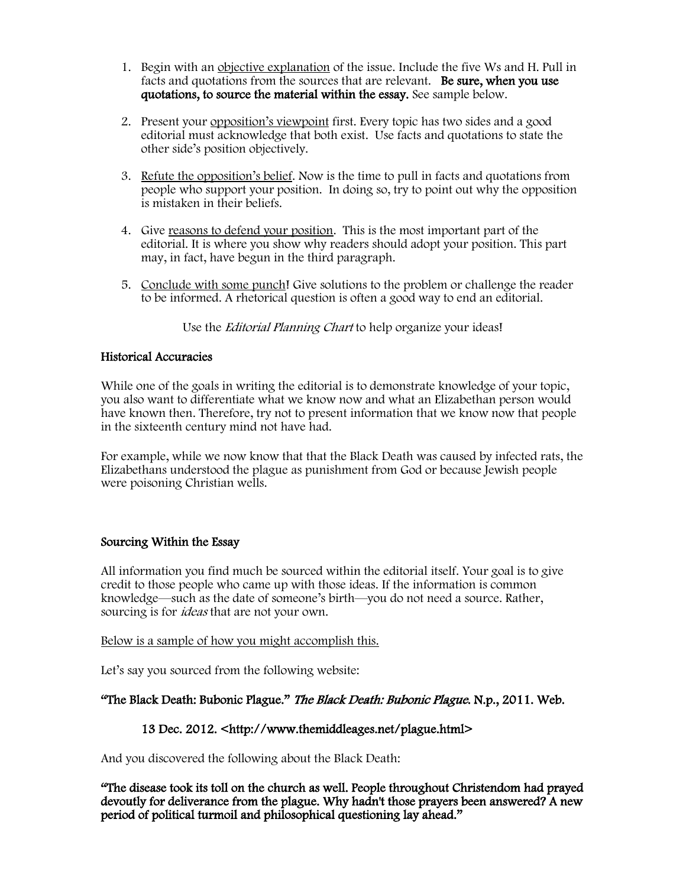- 1. Begin with an objective explanation of the issue. Include the five Ws and H. Pull in facts and quotations from the sources that are relevant. Be sure, when you use quotations, to source the material within the essay. See sample below.
- 2. Present your opposition's viewpoint first. Every topic has two sides and a good editorial must acknowledge that both exist. Use facts and quotations to state the other side's position objectively.
- 3. Refute the opposition's belief. Now is the time to pull in facts and quotations from people who support your position. In doing so, try to point out why the opposition is mistaken in their beliefs.
- 4. Give reasons to defend your position. This is the most important part of the editorial. It is where you show why readers should adopt your position. This part may, in fact, have begun in the third paragraph.
- 5. Conclude with some punch! Give solutions to the problem or challenge the reader to be informed. A rhetorical question is often a good way to end an editorial.

Use the *Editorial Planning Chart* to help organize your ideas!

#### Historical Accuracies

While one of the goals in writing the editorial is to demonstrate knowledge of your topic, you also want to differentiate what we know now and what an Elizabethan person would have known then. Therefore, try not to present information that we know now that people in the sixteenth century mind not have had.

For example, while we now know that that the Black Death was caused by infected rats, the Elizabethans understood the plague as punishment from God or because Jewish people were poisoning Christian wells.

#### Sourcing Within the Essay

All information you find much be sourced within the editorial itself. Your goal is to give credit to those people who came up with those ideas. If the information is common knowledge—such as the date of someone's birth—you do not need a source. Rather, sourcing is for *ideas* that are not your own.

Below is a sample of how you might accomplish this.

Let's say you sourced from the following website:

#### "The Black Death: Bubonic Plague." The Black Death: Bubonic Plague. N.p., 2011. Web.

#### 13 Dec. 2012. <http://www.themiddleages.net/plague.html>

And you discovered the following about the Black Death:

"The disease took its toll on the church as well. People throughout Christendom had prayed devoutly for deliverance from the plague. Why hadn't those prayers been answered? A new period of political turmoil and philosophical questioning lay ahead."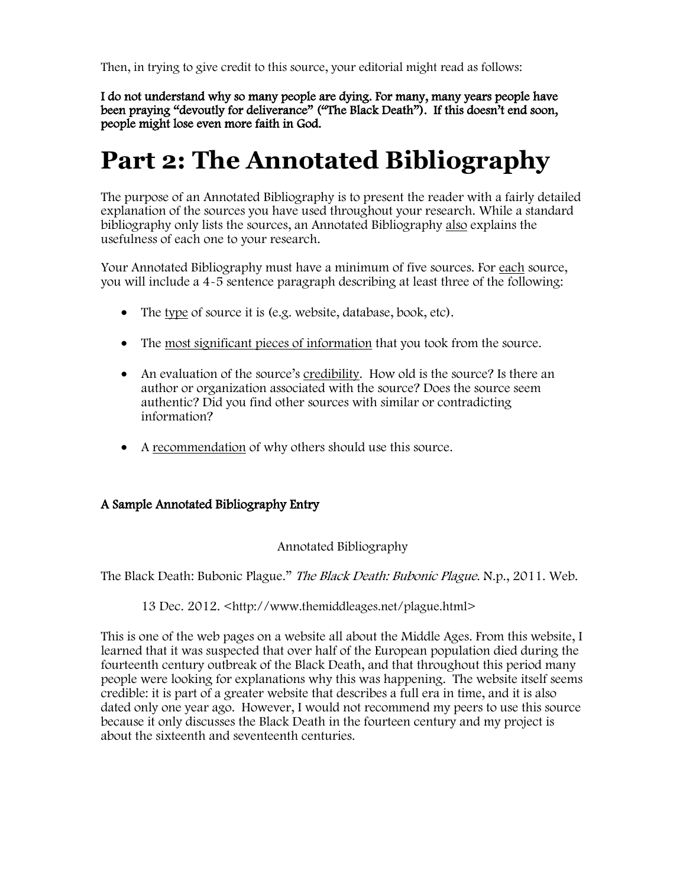Then, in trying to give credit to this source, your editorial might read as follows:

I do not understand why so many people are dying. For many, many years people have been praying "devoutly for deliverance" ("The Black Death"). If this doesn't end soon, people might lose even more faith in God.

### **Part 2: The Annotated Bibliography**

The purpose of an Annotated Bibliography is to present the reader with a fairly detailed explanation of the sources you have used throughout your research. While a standard bibliography only lists the sources, an Annotated Bibliography also explains the usefulness of each one to your research.

Your Annotated Bibliography must have a minimum of five sources. For each source, you will include a 4-5 sentence paragraph describing at least three of the following:

- The type of source it is (e.g. website, database, book, etc).
- The most significant pieces of information that you took from the source.
- An evaluation of the source's credibility. How old is the source? Is there an author or organization associated with the source? Does the source seem authentic? Did you find other sources with similar or contradicting information?
- A recommendation of why others should use this source.

#### A Sample Annotated Bibliography Entry

#### Annotated Bibliography

The Black Death: Bubonic Plague." The Black Death: Bubonic Plague. N.p., 2011. Web.

#### 13 Dec. 2012. <http://www.themiddleages.net/plague.html>

This is one of the web pages on a website all about the Middle Ages. From this website, I learned that it was suspected that over half of the European population died during the fourteenth century outbreak of the Black Death, and that throughout this period many people were looking for explanations why this was happening. The website itself seems credible: it is part of a greater website that describes a full era in time, and it is also dated only one year ago. However, I would not recommend my peers to use this source because it only discusses the Black Death in the fourteen century and my project is about the sixteenth and seventeenth centuries.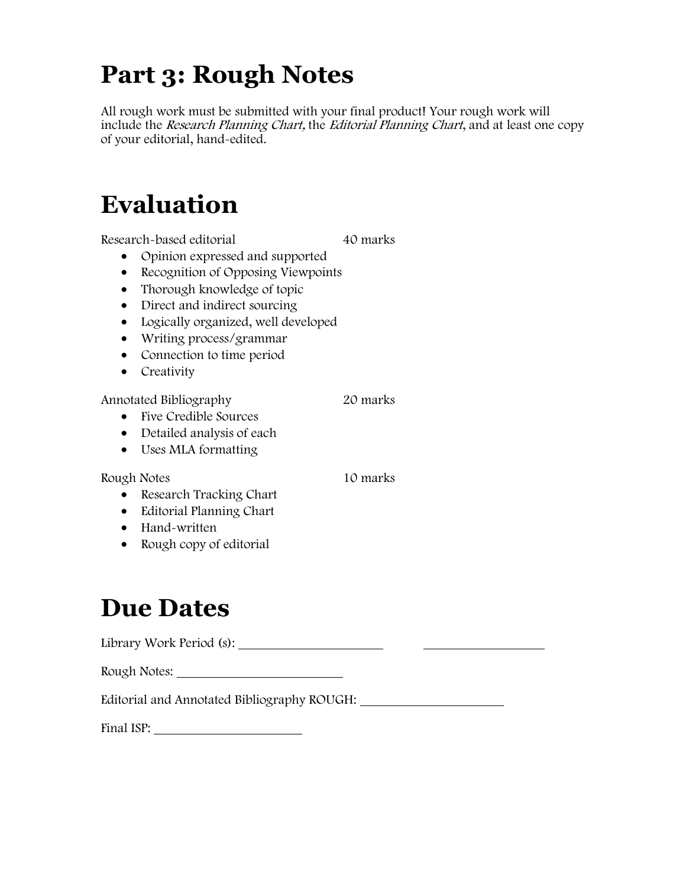## **Part 3: Rough Notes**

All rough work must be submitted with your final product! Your rough work will include the Research Planning Chart, the Editorial Planning Chart, and at least one copy of your editorial, hand-edited.

## **Evaluation**

Research-based editorial 10 marks

- Opinion expressed and supported
- Recognition of Opposing Viewpoints
- Thorough knowledge of topic
- Direct and indirect sourcing
- Logically organized, well developed
- Writing process/grammar
- Connection to time period
- Creativity

Annotated Bibliography 20 marks

- Five Credible Sources
- Detailed analysis of each
- Uses MLA formatting

Rough Notes 10 marks

- Research Tracking Chart
- Editorial Planning Chart
- Hand-written
- Rough copy of editorial

## **Due Dates**

Library Work Period (s):

Rough Notes:

Editorial and Annotated Bibliography ROUGH:

Final ISP: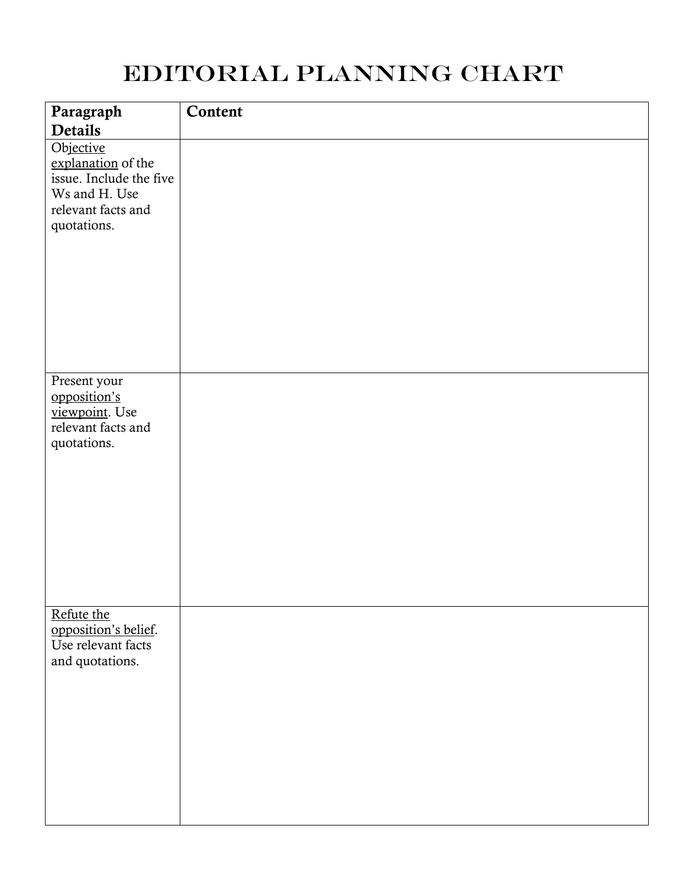### Editorial Planning Chart

| Paragraph                                                                                                                          | Content |
|------------------------------------------------------------------------------------------------------------------------------------|---------|
| <b>Details</b><br>Objective<br>explanation of the<br>issue. Include the five<br>Ws and H. Use<br>relevant facts and<br>quotations. |         |
| Present your<br>opposition's<br>viewpoint. Use<br>relevant facts and<br>quotations.                                                |         |
| Refute the<br>opposition's belief.<br>Use relevant facts<br>and quotations.                                                        |         |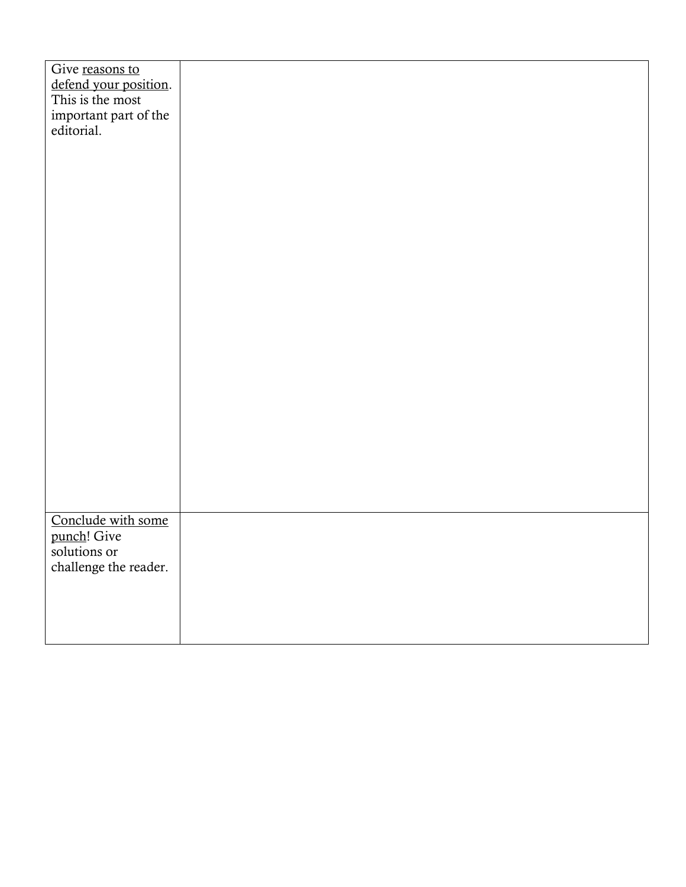| Give reasons to       |  |
|-----------------------|--|
| defend your position. |  |
| This is the most      |  |
| important part of the |  |
| editorial.            |  |
|                       |  |
|                       |  |
|                       |  |
|                       |  |
|                       |  |
|                       |  |
|                       |  |
|                       |  |
|                       |  |
|                       |  |
|                       |  |
|                       |  |
|                       |  |
|                       |  |
|                       |  |
|                       |  |
|                       |  |
|                       |  |
|                       |  |
|                       |  |
|                       |  |
|                       |  |
|                       |  |
|                       |  |
|                       |  |
| Conclude with some    |  |
| punch! Give           |  |
| solutions or          |  |
| challenge the reader. |  |
|                       |  |
|                       |  |
|                       |  |
|                       |  |
|                       |  |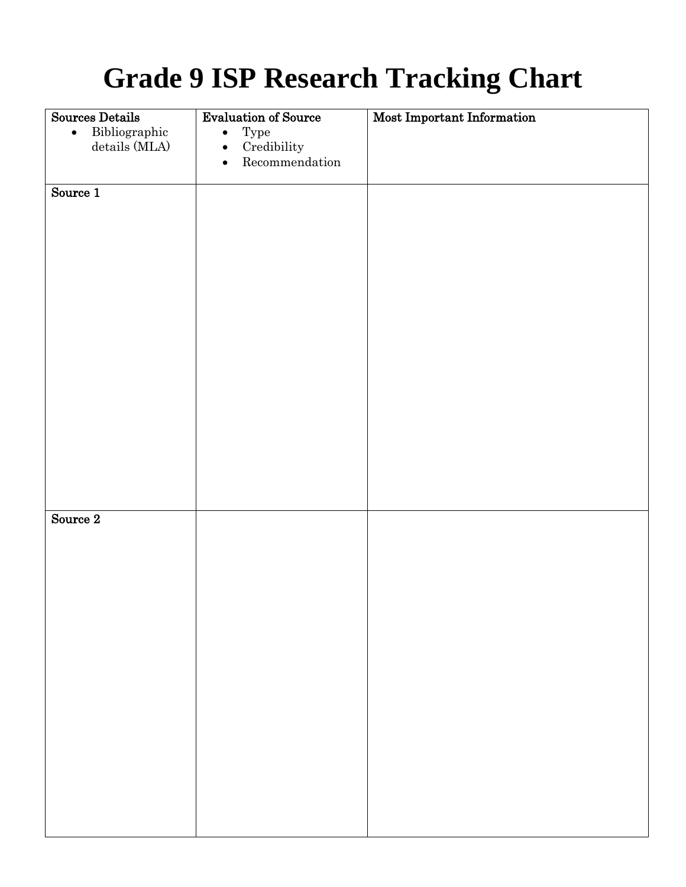# **Grade 9 ISP Research Tracking Chart**

| Sources Details            | <b>Evaluation of Source</b>         | Most Important Information |
|----------------------------|-------------------------------------|----------------------------|
| Bibliographic<br>$\bullet$ | Type<br>$\bullet$                   |                            |
| details (MLA)              | Credibility<br>$\bullet$            |                            |
|                            | ${\bf Recommentation}$<br>$\bullet$ |                            |
|                            |                                     |                            |
| Source $1$                 |                                     |                            |
|                            |                                     |                            |
|                            |                                     |                            |
|                            |                                     |                            |
|                            |                                     |                            |
|                            |                                     |                            |
|                            |                                     |                            |
|                            |                                     |                            |
|                            |                                     |                            |
|                            |                                     |                            |
|                            |                                     |                            |
|                            |                                     |                            |
|                            |                                     |                            |
|                            |                                     |                            |
|                            |                                     |                            |
|                            |                                     |                            |
|                            |                                     |                            |
|                            |                                     |                            |
| Source 2                   |                                     |                            |
|                            |                                     |                            |
|                            |                                     |                            |
|                            |                                     |                            |
|                            |                                     |                            |
|                            |                                     |                            |
|                            |                                     |                            |
|                            |                                     |                            |
|                            |                                     |                            |
|                            |                                     |                            |
|                            |                                     |                            |
|                            |                                     |                            |
|                            |                                     |                            |
|                            |                                     |                            |
|                            |                                     |                            |
|                            |                                     |                            |
|                            |                                     |                            |
|                            |                                     |                            |
|                            |                                     |                            |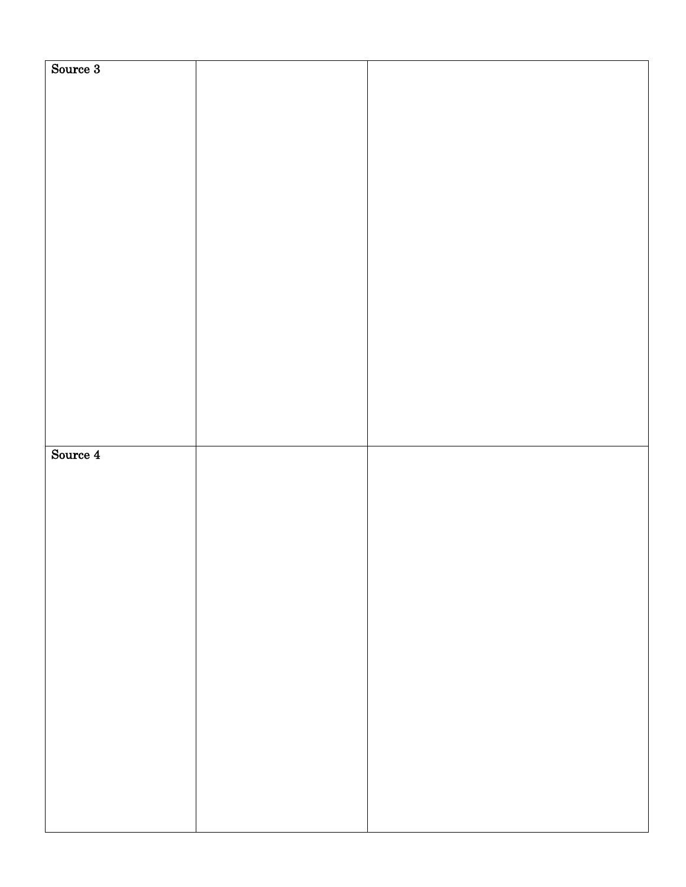| Source 3 |  |
|----------|--|
|          |  |
|          |  |
|          |  |
|          |  |
|          |  |
|          |  |
|          |  |
|          |  |
|          |  |
|          |  |
|          |  |
|          |  |
|          |  |
|          |  |
|          |  |
|          |  |
|          |  |
|          |  |
|          |  |
|          |  |
|          |  |
|          |  |
|          |  |
|          |  |
|          |  |
|          |  |
|          |  |
|          |  |
|          |  |
|          |  |
|          |  |
|          |  |
|          |  |
|          |  |
|          |  |
|          |  |
|          |  |
|          |  |
|          |  |
|          |  |
|          |  |
|          |  |
|          |  |
|          |  |
|          |  |
|          |  |
| Source 4 |  |
|          |  |
|          |  |
|          |  |
|          |  |
|          |  |
|          |  |
|          |  |
|          |  |
|          |  |
|          |  |
|          |  |
|          |  |
|          |  |
|          |  |
|          |  |
|          |  |
|          |  |
|          |  |
|          |  |
|          |  |
|          |  |
|          |  |
|          |  |
|          |  |
|          |  |
|          |  |
|          |  |
|          |  |
|          |  |
|          |  |
|          |  |
|          |  |
|          |  |
|          |  |
|          |  |
|          |  |
|          |  |
|          |  |
|          |  |
|          |  |
|          |  |